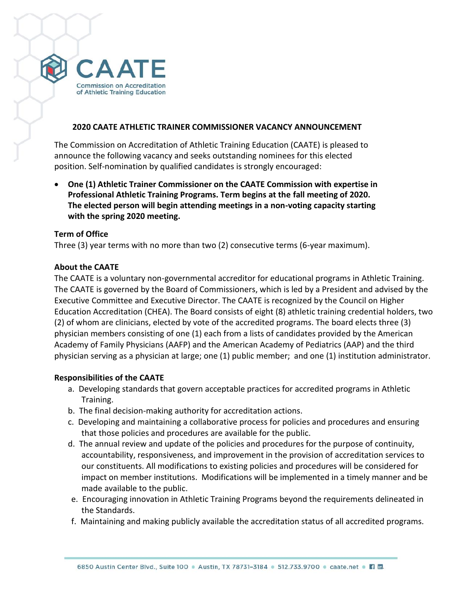

#### **2020 CAATE ATHLETIC TRAINER COMMISSIONER VACANCY ANNOUNCEMENT**

The Commission on Accreditation of Athletic Training Education (CAATE) is pleased to announce the following vacancy and seeks outstanding nominees for this elected position. Self-nomination by qualified candidates is strongly encouraged:

• **One (1) Athletic Trainer Commissioner on the CAATE Commission with expertise in Professional Athletic Training Programs. Term begins at the fall meeting of 2020. The elected person will begin attending meetings in a non-voting capacity starting with the spring 2020 meeting.** 

#### **Term of Office**

Three (3) year terms with no more than two (2) consecutive terms (6-year maximum).

#### **About the CAATE**

The CAATE is a voluntary non-governmental accreditor for educational programs in Athletic Training. The CAATE is governed by the Board of Commissioners, which is led by a President and advised by the Executive Committee and Executive Director. The CAATE is recognized by the Council on Higher Education Accreditation (CHEA). The Board consists of eight (8) athletic training credential holders, two (2) of whom are clinicians, elected by vote of the accredited programs. The board elects three (3) physician members consisting of one (1) each from a lists of candidates provided by the American Academy of Family Physicians (AAFP) and the American Academy of Pediatrics (AAP) and the third physician serving as a physician at large; one (1) public member; and one (1) institution administrator.

### **Responsibilities of the CAATE**

- a. Developing standards that govern acceptable practices for accredited programs in Athletic Training.
- b. The final decision-making authority for accreditation actions.
- c. Developing and maintaining a collaborative process for policies and procedures and ensuring that those policies and procedures are available for the public.
- d. The annual review and update of the policies and procedures for the purpose of continuity, accountability, responsiveness, and improvement in the provision of accreditation services to our constituents. All modifications to existing policies and procedures will be considered for impact on member institutions. Modifications will be implemented in a timely manner and be made available to the public.
- e. Encouraging innovation in Athletic Training Programs beyond the requirements delineated in the Standards.
- f. Maintaining and making publicly available the accreditation status of all accredited programs.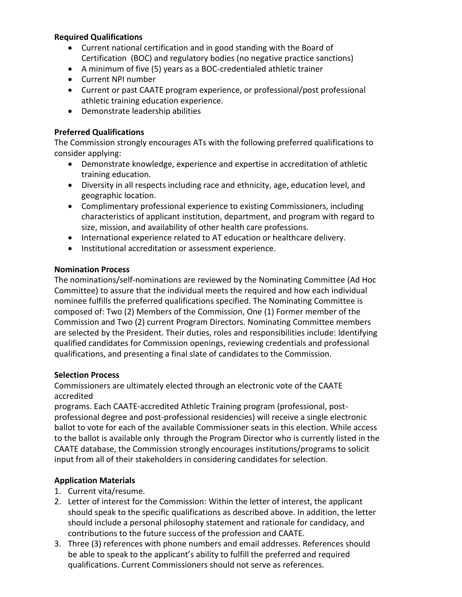### **Required Qualifications**

- Current national certification and in good standing with the Board of Certification (BOC) and regulatory bodies (no negative practice sanctions)
- A minimum of five (5) years as a BOC-credentialed athletic trainer
- Current NPI number
- Current or past CAATE program experience, or professional/post professional athletic training education experience.
- Demonstrate leadership abilities

# **Preferred Qualifications**

The Commission strongly encourages ATs with the following preferred qualifications to consider applying:

- Demonstrate knowledge, experience and expertise in accreditation of athletic training education.
- Diversity in all respects including race and ethnicity, age, education level, and geographic location.
- Complimentary professional experience to existing Commissioners, including characteristics of applicant institution, department, and program with regard to size, mission, and availability of other health care professions.
- International experience related to AT education or healthcare delivery.
- Institutional accreditation or assessment experience.

## **Nomination Process**

The nominations/self-nominations are reviewed by the Nominating Committee (Ad Hoc Committee) to assure that the individual meets the required and how each individual nominee fulfills the preferred qualifications specified. The Nominating Committee is composed of: Two (2) Members of the Commission, One (1) Former member of the Commission and Two (2) current Program Directors. Nominating Committee members are selected by the President. Their duties, roles and responsibilities include: Identifying qualified candidates for Commission openings, reviewing credentials and professional qualifications, and presenting a final slate of candidates to the Commission.

### **Selection Process**

Commissioners are ultimately elected through an electronic vote of the CAATE accredited

programs. Each CAATE-accredited Athletic Training program (professional, postprofessional degree and post-professional residencies) will receive a single electronic ballot to vote for each of the available Commissioner seats in this election. While access to the ballot is available only through the Program Director who is currently listed in the CAATE database, the Commission strongly encourages institutions/programs to solicit input from all of their stakeholders in considering candidates for selection.

## **Application Materials**

- 1. Current vita/resume.
- 2. Letter of interest for the Commission: Within the letter of interest, the applicant should speak to the specific qualifications as described above. In addition, the letter should include a personal philosophy statement and rationale for candidacy, and contributions to the future success of the profession and CAATE.
- 3. Three (3) references with phone numbers and email addresses. References should be able to speak to the applicant's ability to fulfill the preferred and required qualifications. Current Commissioners should not serve as references.